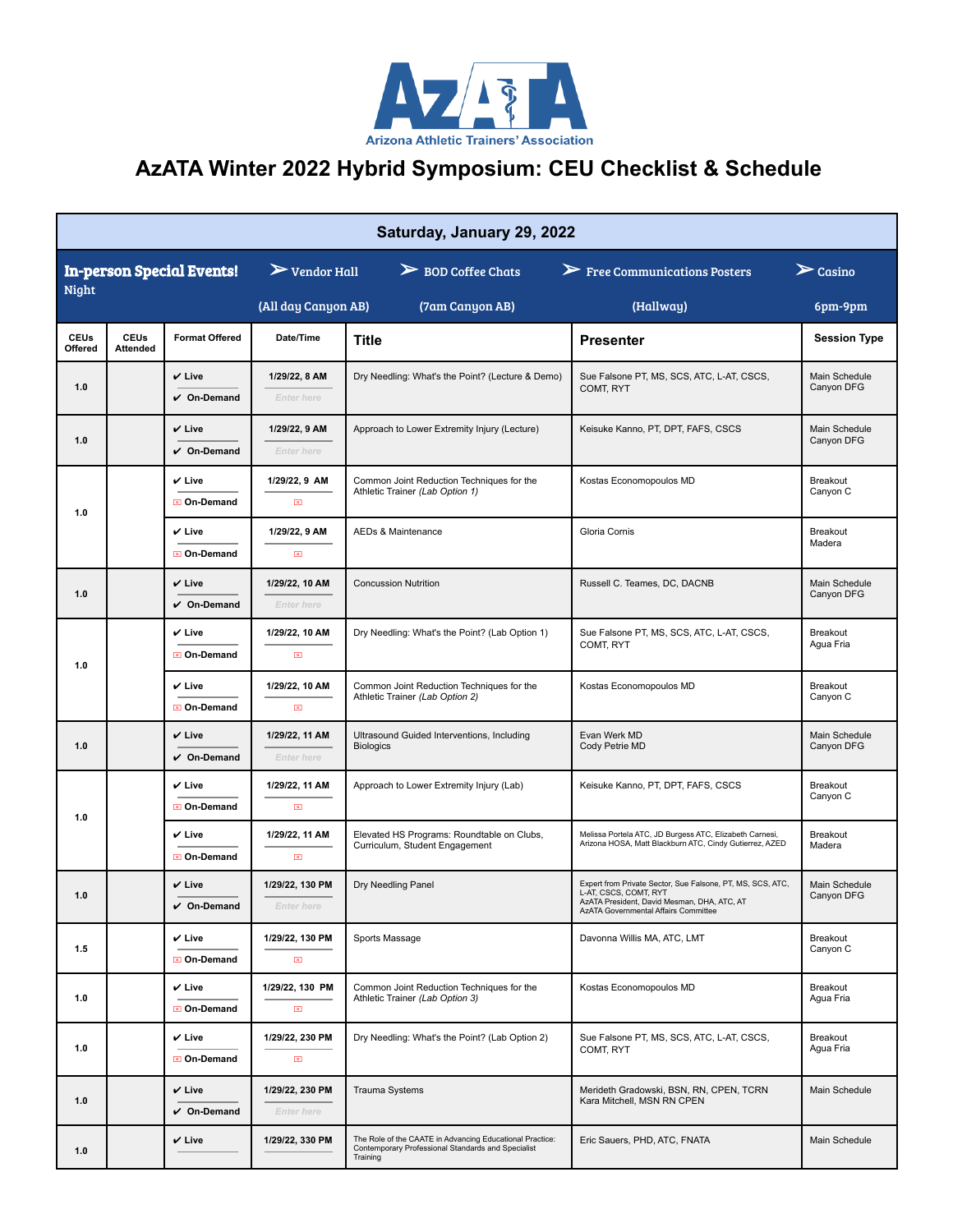

## **AzATA Winter 2022 Hybrid Symposium: CEU Checklist & Schedule**

| Saturday, January 29, 2022       |                                |                                  |                                         |                                                                                                                            |                                                                                                                                                                            |                             |  |  |  |  |  |
|----------------------------------|--------------------------------|----------------------------------|-----------------------------------------|----------------------------------------------------------------------------------------------------------------------------|----------------------------------------------------------------------------------------------------------------------------------------------------------------------------|-----------------------------|--|--|--|--|--|
| <b>In-person Special Events!</b> |                                |                                  | $\triangleright$ Vendor Hall            | $\triangleright$ BOD Coffee Chats                                                                                          | $\triangleright$ Free Communications Posters                                                                                                                               | $\sum$ Casino               |  |  |  |  |  |
| <b>Night</b>                     |                                | (All day Canyon AB)              | (7am Canyon AB)                         | (Hallway)                                                                                                                  | 6pm-9pm                                                                                                                                                                    |                             |  |  |  |  |  |
| <b>CEUs</b><br>Offered           | <b>CEUs</b><br><b>Attended</b> | <b>Format Offered</b>            | Date/Time                               | Title                                                                                                                      | <b>Presenter</b>                                                                                                                                                           | <b>Session Type</b>         |  |  |  |  |  |
| 1.0                              |                                | $V$ Live<br>$V$ On-Demand        | 1/29/22, 8 AM<br><b>Enter here</b>      | Dry Needling: What's the Point? (Lecture & Demo)                                                                           | Sue Falsone PT, MS, SCS, ATC, L-AT, CSCS,<br>COMT, RYT                                                                                                                     | Main Schedule<br>Canyon DFG |  |  |  |  |  |
| 1.0                              |                                | $V$ Live<br>$\vee$ On-Demand     | 1/29/22, 9 AM<br><b>Enter here</b>      | Approach to Lower Extremity Injury (Lecture)                                                                               | Keisuke Kanno, PT, DPT, FAFS, CSCS                                                                                                                                         | Main Schedule<br>Canyon DFG |  |  |  |  |  |
| 1.0                              |                                | $V$ Live<br>⊠ On-Demand          | 1/29/22, 9 AM<br>$\mathbb{Z}$           | Common Joint Reduction Techniques for the<br>Athletic Trainer (Lab Option 1)                                               | Kostas Economopoulos MD                                                                                                                                                    | Breakout<br>Canyon C        |  |  |  |  |  |
|                                  |                                | $V$ Live<br>⊠ On-Demand          | 1/29/22, 9 AM<br>$\mathbf{X}$           | <b>AEDs &amp; Maintenance</b>                                                                                              | Gloria Cornis                                                                                                                                                              | Breakout<br>Madera          |  |  |  |  |  |
| 1.0                              |                                | $V$ Live<br>$\vee$ On-Demand     | 1/29/22, 10 AM<br><b>Enter here</b>     | <b>Concussion Nutrition</b>                                                                                                | Russell C. Teames, DC, DACNB                                                                                                                                               | Main Schedule<br>Canyon DFG |  |  |  |  |  |
| 1.0                              |                                | $V$ Live<br>⊠ On-Demand          | 1/29/22, 10 AM<br>⊠                     | Dry Needling: What's the Point? (Lab Option 1)                                                                             | Sue Falsone PT, MS, SCS, ATC, L-AT, CSCS,<br>COMT, RYT                                                                                                                     | Breakout<br>Agua Fria       |  |  |  |  |  |
|                                  |                                | $\checkmark$ Live<br>⊠ On-Demand | 1/29/22, 10 AM<br>$\mathbb{Z}$          | Common Joint Reduction Techniques for the<br>Athletic Trainer (Lab Option 2)                                               | Kostas Economopoulos MD                                                                                                                                                    | Breakout<br>Canyon C        |  |  |  |  |  |
| 1.0                              |                                | $V$ Live<br>$V$ On-Demand        | 1/29/22, 11 AM<br><b>Enter here</b>     | Ultrasound Guided Interventions, Including<br><b>Biologics</b>                                                             | Evan Werk MD<br>Cody Petrie MD                                                                                                                                             | Main Schedule<br>Canyon DFG |  |  |  |  |  |
| 1.0                              |                                | ✔ Live<br>⊠ On-Demand            | 1/29/22, 11 AM<br>$\boxtimes$           | Approach to Lower Extremity Injury (Lab)                                                                                   | Keisuke Kanno, PT, DPT, FAFS, CSCS                                                                                                                                         | Breakout<br>Canyon C        |  |  |  |  |  |
|                                  |                                | $V$ Live<br><b>⊠</b> On-Demand   | 1/29/22, 11 AM<br>$\mathbb{Z}$          | Elevated HS Programs: Roundtable on Clubs,<br>Curriculum, Student Engagement                                               | Melissa Portela ATC, JD Burgess ATC, Elizabeth Carnesi,<br>Arizona HOSA, Matt Blackburn ATC, Cindy Gutierrez, AZED                                                         | Breakout<br>Madera          |  |  |  |  |  |
| 1.0                              |                                | $V$ Live<br>On-Demand            | 1/29/22, 130 PM<br><i>Enter nere</i>    | Dry Needling Panel                                                                                                         | Expert from Private Sector, Sue Falsone, PT, MS, SCS, ATC,<br>L-AT, CSCS, COMT, RYT<br>AzATA President, David Mesman, DHA, ATC, AT<br>AzATA Governmental Affairs Committee | Main Schedule<br>Canyon DFG |  |  |  |  |  |
| 1.5                              |                                | $V$ Live<br>⊠ On-Demand          | 1/29/22. 130 PM<br>$\mathbf{X}$         | Sports Massage                                                                                                             | Davonna Willis MA, ATC, LMT                                                                                                                                                | Breakout<br>Canyon C        |  |  |  |  |  |
| 1.0                              |                                | $V$ Live<br>⊠ On-Demand          | 1/29/22, 130 PM<br>$\boxed{\mathbb{X}}$ | Common Joint Reduction Techniques for the<br>Athletic Trainer (Lab Option 3)                                               | Kostas Economopoulos MD                                                                                                                                                    | Breakout<br>Agua Fria       |  |  |  |  |  |
| 1.0                              |                                | $\checkmark$ Live<br>⊠ On-Demand | 1/29/22, 230 PM<br>$\boxed{\mathbf{x}}$ | Dry Needling: What's the Point? (Lab Option 2)                                                                             | Sue Falsone PT, MS, SCS, ATC, L-AT, CSCS,<br>COMT, RYT                                                                                                                     | Breakout<br>Agua Fria       |  |  |  |  |  |
| 1.0                              |                                | $V$ Live<br>$V$ On-Demand        | 1/29/22, 230 PM<br><b>Enter here</b>    | <b>Trauma Systems</b>                                                                                                      | Merideth Gradowski, BSN, RN, CPEN, TCRN<br>Kara Mitchell, MSN RN CPEN                                                                                                      | Main Schedule               |  |  |  |  |  |
| 1.0                              |                                | $V$ Live                         | 1/29/22, 330 PM                         | The Role of the CAATE in Advancing Educational Practice:<br>Contemporary Professional Standards and Specialist<br>Training | Eric Sauers, PHD, ATC, FNATA                                                                                                                                               | Main Schedule               |  |  |  |  |  |